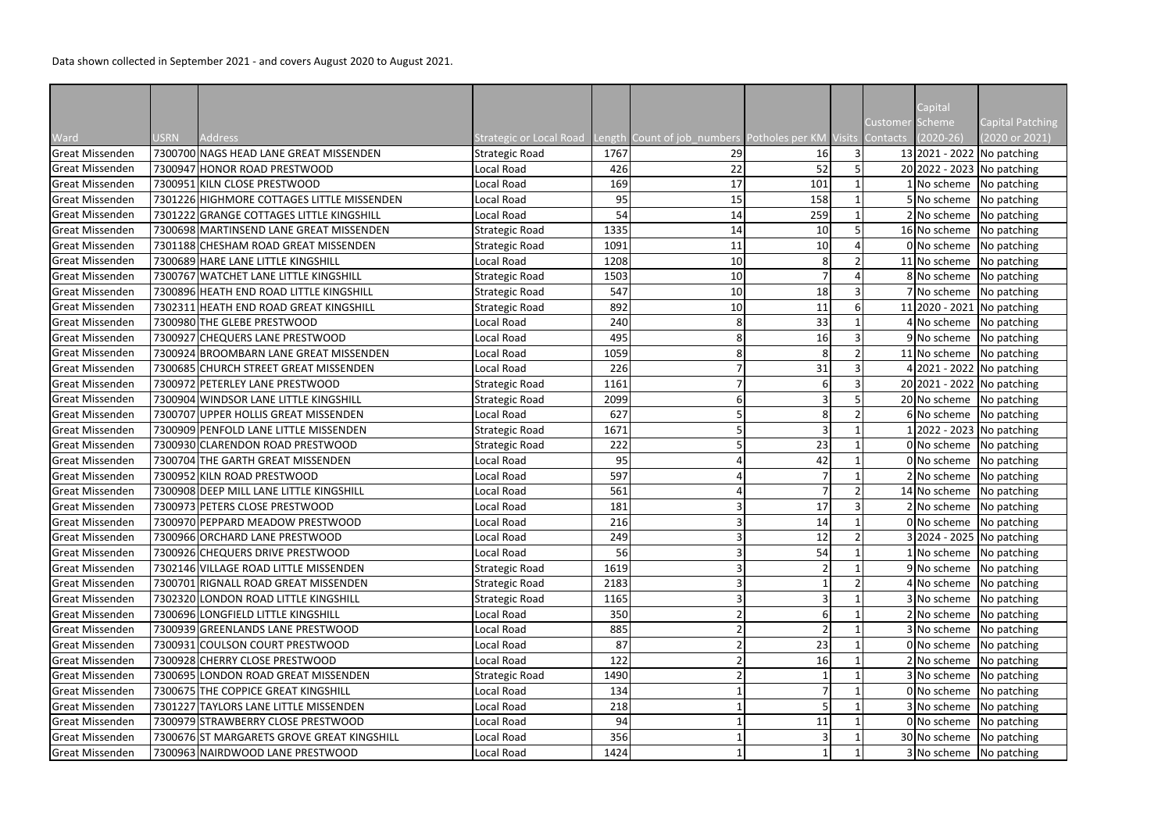|                        |             |                                            |                         |      |                                                             |     |                |                        | Capital                                        |                         |
|------------------------|-------------|--------------------------------------------|-------------------------|------|-------------------------------------------------------------|-----|----------------|------------------------|------------------------------------------------|-------------------------|
|                        |             |                                            |                         |      |                                                             |     |                | <b>Customer Scheme</b> |                                                | <b>Capital Patching</b> |
| Ward                   | <b>USRN</b> | <b>Address</b>                             | Strategic or Local Road |      | Length Count of job_numbers Potholes per KM_Visits Contacts |     |                |                        | $(2020 - 26)$                                  | (2020 or 2021)          |
| <b>Great Missenden</b> |             | 7300700 NAGS HEAD LANE GREAT MISSENDEN     | <b>Strategic Road</b>   | 1767 | 29                                                          | 16  |                |                        | 13 2021 - 2022   No patching                   |                         |
| Great Missenden        |             | 7300947 HONOR ROAD PRESTWOOD               | Local Road              | 426  | 22                                                          | 52  |                |                        | 20 2022 - 2023 No patching                     |                         |
| Great Missenden        |             | 7300951 KILN CLOSE PRESTWOOD               | <b>Local Road</b>       | 169  | 17                                                          | 101 |                |                        | No scheme   No patching                        |                         |
| Great Missenden        |             | 7301226 HIGHMORE COTTAGES LITTLE MISSENDEN | Local Road              | 95   | 15                                                          | 158 |                |                        | 5 No scheme                                    | No patching             |
| <b>Great Missenden</b> |             | 7301222 GRANGE COTTAGES LITTLE KINGSHILL   | Local Road              | 54   | 14                                                          | 259 |                |                        | No scheme!                                     | No patching             |
| Great Missenden        |             | 7300698 MARTINSEND LANE GREAT MISSENDEN    | <b>Strategic Road</b>   | 1335 | 14                                                          | 10  |                |                        | 16 No scheme                                   | No patching             |
| Great Missenden        |             | 7301188 CHESHAM ROAD GREAT MISSENDEN       | <b>Strategic Road</b>   | 1091 | 11                                                          | 10  |                |                        | $0 $ No scheme                                 | No patching             |
| <b>Great Missenden</b> |             | 7300689 HARE LANE LITTLE KINGSHILL         | Local Road              | 1208 | 10                                                          | 8   |                |                        | 11 No scheme                                   | No patching             |
| Great Missenden        |             | 7300767 WATCHET LANE LITTLE KINGSHILL      | <b>Strategic Road</b>   | 1503 | 10                                                          |     |                |                        | 8 No scheme                                    | No patching             |
| <b>Great Missenden</b> |             | 7300896 HEATH END ROAD LITTLE KINGSHILL    | <b>Strategic Road</b>   | 547  | 10                                                          | 18  |                |                        | ' No scheme                                    | No patching             |
| <b>Great Missenden</b> |             | 7302311 HEATH END ROAD GREAT KINGSHILL     | <b>Strategic Road</b>   | 892  | 10                                                          | 11  |                |                        | 11 2020 - 2021 No patching                     |                         |
| Great Missenden        |             | 7300980 THE GLEBE PRESTWOOD                | Local Road              | 240  |                                                             | 33  |                |                        | 4 No scheme                                    | No patching             |
| Great Missenden        |             | 7300927 CHEQUERS LANE PRESTWOOD            | <b>Local Road</b>       | 495  |                                                             | 16  |                |                        | $9 No scheme$ No patching                      |                         |
| Great Missenden        |             | 7300924 BROOMBARN LANE GREAT MISSENDEN     | Local Road              | 1059 |                                                             | 8   | $\overline{2}$ |                        | 11 No scheme $\sqrt{\frac{1}{10}}$ No patching |                         |
| <b>Great Missenden</b> |             | 7300685 CHURCH STREET GREAT MISSENDEN      | Local Road              | 226  |                                                             | 31  |                |                        | 4 2021 - 2022 No patching                      |                         |
| Great Missenden        |             | 7300972 PETERLEY LANE PRESTWOOD            | <b>Strategic Road</b>   | 1161 |                                                             | 6   |                |                        | 20 2021 - 2022 No patching                     |                         |
| Great Missenden        |             | 7300904 WINDSOR LANE LITTLE KINGSHILL      | <b>Strategic Road</b>   | 2099 |                                                             |     |                |                        | 20 No scheme No patching                       |                         |
| Great Missenden        |             | 7300707 UPPER HOLLIS GREAT MISSENDEN       | Local Road              | 627  |                                                             | 8   |                |                        | 6 No scheme   No patching                      |                         |
| Great Missenden        |             | 7300909 PENFOLD LANE LITTLE MISSENDEN      | <b>Strategic Road</b>   | 1671 |                                                             | 3   |                |                        | $1 2022 - 2023 $ No patching                   |                         |
| <b>Great Missenden</b> |             | 7300930 CLARENDON ROAD PRESTWOOD           | <b>Strategic Road</b>   | 222  |                                                             | 23  |                |                        | 0 No scheme                                    | No patching             |
| Great Missenden        |             | 7300704 THE GARTH GREAT MISSENDEN          | Local Road              | 95   |                                                             | 42  |                |                        | 0 No scheme                                    | No patching             |
| Great Missenden        |             | 7300952 KILN ROAD PRESTWOOD                | Local Road              | 597  |                                                             |     |                |                        | 2 No scheme                                    | No patching             |
| Great Missenden        |             | 7300908 DEEP MILL LANE LITTLE KINGSHILL    | Local Road              | 561  |                                                             |     |                |                        | 14 No scheme                                   | No patching             |
| <b>Great Missenden</b> |             | 7300973 PETERS CLOSE PRESTWOOD             | Local Road              | 181  |                                                             | 17  |                |                        | No scheme No patching                          |                         |
| Great Missenden        |             | 7300970 PEPPARD MEADOW PRESTWOOD           | Local Road              | 216  |                                                             | 14  |                |                        | $0 $ No scheme   No patching                   |                         |
| Great Missenden        |             | 7300966 ORCHARD LANE PRESTWOOD             | Local Road              | 249  |                                                             | 12  | 2              |                        | 3 2024 - 2025 No patching                      |                         |
| <b>Great Missenden</b> |             | 7300926 CHEQUERS DRIVE PRESTWOOD           | Local Road              | 56   |                                                             | 54  |                |                        | No scheme   No patching                        |                         |
| Great Missenden        |             | 7302146 VILLAGE ROAD LITTLE MISSENDEN      | <b>Strategic Road</b>   | 1619 |                                                             |     |                |                        | 9 No scheme No patching                        |                         |
| Great Missenden        |             | 7300701 RIGNALL ROAD GREAT MISSENDEN       | <b>Strategic Road</b>   | 2183 |                                                             |     |                |                        | 4 No scheme                                    | No patching             |
| <b>Great Missenden</b> |             | 7302320 LONDON ROAD LITTLE KINGSHILL       | <b>Strategic Road</b>   | 1165 |                                                             |     |                |                        | No scheme                                      | No patching             |
| Great Missenden        |             | 7300696 LONGFIELD LITTLE KINGSHILL         | Local Road              | 350  |                                                             | 6   |                |                        | 2 No scheme                                    | No patching             |
| Great Missenden        |             | 7300939 GREENLANDS LANE PRESTWOOD          | Local Road              | 885  |                                                             |     |                |                        | 3 No scheme                                    | No patching             |
| Great Missenden        |             | 7300931 COULSON COURT PRESTWOOD            | Local Road              | 87   |                                                             | 23  |                |                        | 0 No scheme                                    | No patching             |
| Great Missenden        |             | 7300928 CHERRY CLOSE PRESTWOOD             | Local Road              | 122  |                                                             | 16  |                |                        | 2 No scheme                                    | No patching             |
| Great Missenden        |             | 7300695 LONDON ROAD GREAT MISSENDEN        | <b>Strategic Road</b>   | 1490 |                                                             |     |                |                        | No scheme                                      | No patching             |
| Great Missenden        |             | 7300675 THE COPPICE GREAT KINGSHILL        | Local Road              | 134  |                                                             |     |                |                        | 0 No scheme                                    | No patching             |
| Great Missenden        |             | 7301227 TAYLORS LANE LITTLE MISSENDEN      | Local Road              | 218  |                                                             |     |                |                        | 3 No scheme                                    | No patching             |
| Great Missenden        |             | 7300979 STRAWBERRY CLOSE PRESTWOOD         | Local Road              | 94   |                                                             | 11  |                |                        | 0 No scheme                                    | No patching             |
| Great Missenden        |             | 7300676 ST MARGARETS GROVE GREAT KINGSHILL | Local Road              | 356  |                                                             |     |                |                        | 30 No scheme                                   | No patching             |
| Great Missenden        |             | 7300963 NAIRDWOOD LANE PRESTWOOD           | Local Road              | 1424 |                                                             |     |                |                        | 3 No scheme No patching                        |                         |